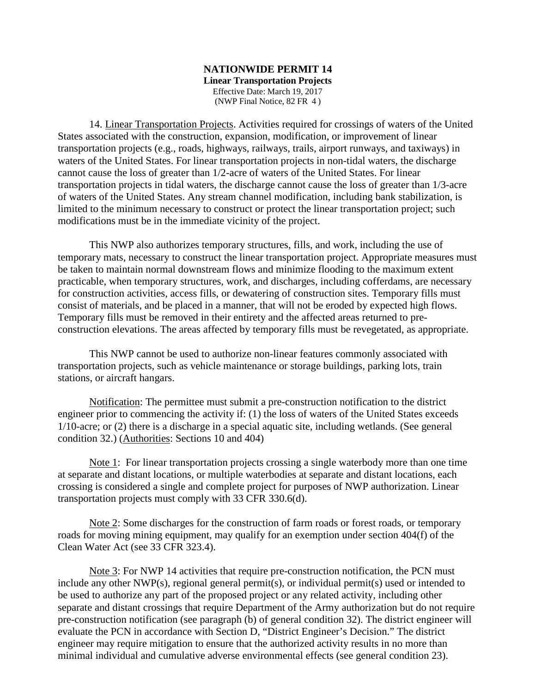## **NATIONWIDE PERMIT 14 Linear Transportation Projects**  Effective Date: March 19, 2017 (NWP Final Notice, 82 FR 4 )

14. Linear Transportation Projects. Activities required for crossings of waters of the United States associated with the construction, expansion, modification, or improvement of linear transportation projects (e.g., roads, highways, railways, trails, airport runways, and taxiways) in waters of the United States. For linear transportation projects in non-tidal waters, the discharge cannot cause the loss of greater than 1/2-acre of waters of the United States. For linear transportation projects in tidal waters, the discharge cannot cause the loss of greater than 1/3-acre of waters of the United States. Any stream channel modification, including bank stabilization, is limited to the minimum necessary to construct or protect the linear transportation project; such modifications must be in the immediate vicinity of the project.

This NWP also authorizes temporary structures, fills, and work, including the use of temporary mats, necessary to construct the linear transportation project. Appropriate measures must be taken to maintain normal downstream flows and minimize flooding to the maximum extent practicable, when temporary structures, work, and discharges, including cofferdams, are necessary for construction activities, access fills, or dewatering of construction sites. Temporary fills must consist of materials, and be placed in a manner, that will not be eroded by expected high flows. Temporary fills must be removed in their entirety and the affected areas returned to preconstruction elevations. The areas affected by temporary fills must be revegetated, as appropriate.

This NWP cannot be used to authorize non-linear features commonly associated with transportation projects, such as vehicle maintenance or storage buildings, parking lots, train stations, or aircraft hangars.

Notification: The permittee must submit a pre-construction notification to the district engineer prior to commencing the activity if: (1) the loss of waters of the United States exceeds 1/10-acre; or (2) there is a discharge in a special aquatic site, including wetlands. (See general condition 32.) (Authorities: Sections 10 and 404)

Note 1: For linear transportation projects crossing a single waterbody more than one time at separate and distant locations, or multiple waterbodies at separate and distant locations, each crossing is considered a single and complete project for purposes of NWP authorization. Linear transportation projects must comply with 33 CFR 330.6(d).

Note 2: Some discharges for the construction of farm roads or forest roads, or temporary roads for moving mining equipment, may qualify for an exemption under section 404(f) of the Clean Water Act (see 33 CFR 323.4).

Note 3: For NWP 14 activities that require pre-construction notification, the PCN must include any other NWP(s), regional general permit(s), or individual permit(s) used or intended to be used to authorize any part of the proposed project or any related activity, including other separate and distant crossings that require Department of the Army authorization but do not require pre-construction notification (see paragraph (b) of general condition 32). The district engineer will evaluate the PCN in accordance with Section D, "District Engineer's Decision." The district engineer may require mitigation to ensure that the authorized activity results in no more than minimal individual and cumulative adverse environmental effects (see general condition 23).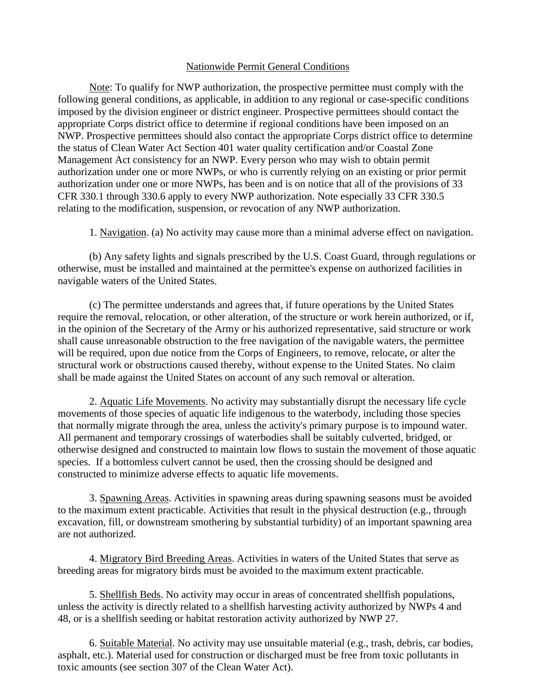## Nationwide Permit General Conditions

Note: To qualify for NWP authorization, the prospective permittee must comply with the following general conditions, as applicable, in addition to any regional or case-specific conditions imposed by the division engineer or district engineer. Prospective permittees should contact the appropriate Corps district office to determine if regional conditions have been imposed on an NWP. Prospective permittees should also contact the appropriate Corps district office to determine the status of Clean Water Act Section 401 water quality certification and/or Coastal Zone Management Act consistency for an NWP. Every person who may wish to obtain permit authorization under one or more NWPs, or who is currently relying on an existing or prior permit authorization under one or more NWPs, has been and is on notice that all of the provisions of 33 CFR 330.1 through 330.6 apply to every NWP authorization. Note especially 33 CFR 330.5 relating to the modification, suspension, or revocation of any NWP authorization.

1. Navigation. (a) No activity may cause more than a minimal adverse effect on navigation.

(b) Any safety lights and signals prescribed by the U.S. Coast Guard, through regulations or otherwise, must be installed and maintained at the permittee's expense on authorized facilities in navigable waters of the United States.

(c) The permittee understands and agrees that, if future operations by the United States require the removal, relocation, or other alteration, of the structure or work herein authorized, or if, in the opinion of the Secretary of the Army or his authorized representative, said structure or work shall cause unreasonable obstruction to the free navigation of the navigable waters, the permittee will be required, upon due notice from the Corps of Engineers, to remove, relocate, or alter the structural work or obstructions caused thereby, without expense to the United States. No claim shall be made against the United States on account of any such removal or alteration.

2. Aquatic Life Movements. No activity may substantially disrupt the necessary life cycle movements of those species of aquatic life indigenous to the waterbody, including those species that normally migrate through the area, unless the activity's primary purpose is to impound water. All permanent and temporary crossings of waterbodies shall be suitably culverted, bridged, or otherwise designed and constructed to maintain low flows to sustain the movement of those aquatic species. If a bottomless culvert cannot be used, then the crossing should be designed and constructed to minimize adverse effects to aquatic life movements.

3. Spawning Areas. Activities in spawning areas during spawning seasons must be avoided to the maximum extent practicable. Activities that result in the physical destruction (e.g., through excavation, fill, or downstream smothering by substantial turbidity) of an important spawning area are not authorized.

4. Migratory Bird Breeding Areas. Activities in waters of the United States that serve as breeding areas for migratory birds must be avoided to the maximum extent practicable.

5. Shellfish Beds. No activity may occur in areas of concentrated shellfish populations, unless the activity is directly related to a shellfish harvesting activity authorized by NWPs 4 and 48, or is a shellfish seeding or habitat restoration activity authorized by NWP 27.

6. Suitable Material. No activity may use unsuitable material (e.g., trash, debris, car bodies, asphalt, etc.). Material used for construction or discharged must be free from toxic pollutants in toxic amounts (see section 307 of the Clean Water Act).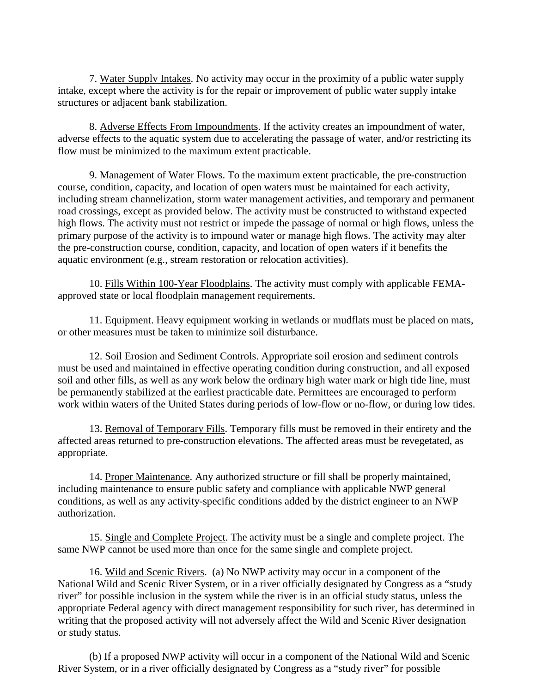7. Water Supply Intakes. No activity may occur in the proximity of a public water supply intake, except where the activity is for the repair or improvement of public water supply intake structures or adjacent bank stabilization.

8. Adverse Effects From Impoundments. If the activity creates an impoundment of water, adverse effects to the aquatic system due to accelerating the passage of water, and/or restricting its flow must be minimized to the maximum extent practicable.

9. Management of Water Flows. To the maximum extent practicable, the pre-construction course, condition, capacity, and location of open waters must be maintained for each activity, including stream channelization, storm water management activities, and temporary and permanent road crossings, except as provided below. The activity must be constructed to withstand expected high flows. The activity must not restrict or impede the passage of normal or high flows, unless the primary purpose of the activity is to impound water or manage high flows. The activity may alter the pre-construction course, condition, capacity, and location of open waters if it benefits the aquatic environment (e.g., stream restoration or relocation activities).

10. Fills Within 100-Year Floodplains. The activity must comply with applicable FEMAapproved state or local floodplain management requirements.

11. Equipment. Heavy equipment working in wetlands or mudflats must be placed on mats, or other measures must be taken to minimize soil disturbance.

12. Soil Erosion and Sediment Controls. Appropriate soil erosion and sediment controls must be used and maintained in effective operating condition during construction, and all exposed soil and other fills, as well as any work below the ordinary high water mark or high tide line, must be permanently stabilized at the earliest practicable date. Permittees are encouraged to perform work within waters of the United States during periods of low-flow or no-flow, or during low tides.

13. Removal of Temporary Fills. Temporary fills must be removed in their entirety and the affected areas returned to pre-construction elevations. The affected areas must be revegetated, as appropriate.

14. Proper Maintenance. Any authorized structure or fill shall be properly maintained, including maintenance to ensure public safety and compliance with applicable NWP general conditions, as well as any activity-specific conditions added by the district engineer to an NWP authorization.

15. Single and Complete Project. The activity must be a single and complete project. The same NWP cannot be used more than once for the same single and complete project.

16. Wild and Scenic Rivers. (a) No NWP activity may occur in a component of the National Wild and Scenic River System, or in a river officially designated by Congress as a "study river" for possible inclusion in the system while the river is in an official study status, unless the appropriate Federal agency with direct management responsibility for such river, has determined in writing that the proposed activity will not adversely affect the Wild and Scenic River designation or study status.

(b) If a proposed NWP activity will occur in a component of the National Wild and Scenic River System, or in a river officially designated by Congress as a "study river" for possible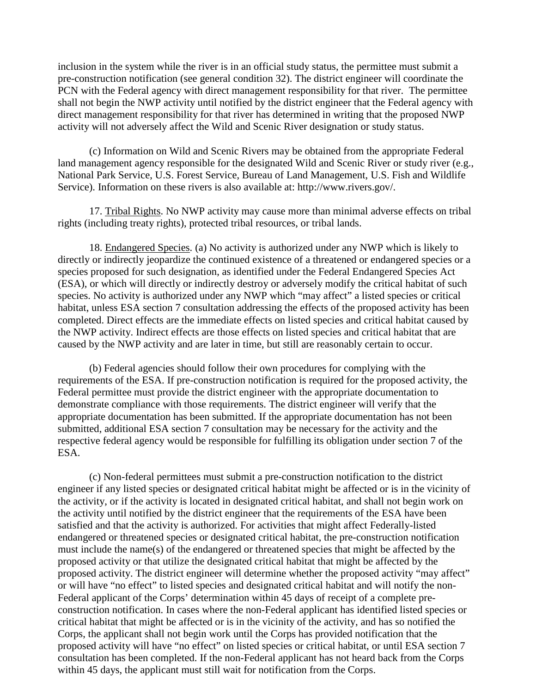inclusion in the system while the river is in an official study status, the permittee must submit a pre-construction notification (see general condition 32). The district engineer will coordinate the PCN with the Federal agency with direct management responsibility for that river. The permittee shall not begin the NWP activity until notified by the district engineer that the Federal agency with direct management responsibility for that river has determined in writing that the proposed NWP activity will not adversely affect the Wild and Scenic River designation or study status.

(c) Information on Wild and Scenic Rivers may be obtained from the appropriate Federal land management agency responsible for the designated Wild and Scenic River or study river (e.g., National Park Service, U.S. Forest Service, Bureau of Land Management, U.S. Fish and Wildlife Service). Information on these rivers is also available at: http://www.rivers.gov/.

17. Tribal Rights. No NWP activity may cause more than minimal adverse effects on tribal rights (including treaty rights), protected tribal resources, or tribal lands.

18. Endangered Species. (a) No activity is authorized under any NWP which is likely to directly or indirectly jeopardize the continued existence of a threatened or endangered species or a species proposed for such designation, as identified under the Federal Endangered Species Act (ESA), or which will directly or indirectly destroy or adversely modify the critical habitat of such species. No activity is authorized under any NWP which "may affect" a listed species or critical habitat, unless ESA section 7 consultation addressing the effects of the proposed activity has been completed. Direct effects are the immediate effects on listed species and critical habitat caused by the NWP activity. Indirect effects are those effects on listed species and critical habitat that are caused by the NWP activity and are later in time, but still are reasonably certain to occur.

(b) Federal agencies should follow their own procedures for complying with the requirements of the ESA. If pre-construction notification is required for the proposed activity, the Federal permittee must provide the district engineer with the appropriate documentation to demonstrate compliance with those requirements. The district engineer will verify that the appropriate documentation has been submitted. If the appropriate documentation has not been submitted, additional ESA section 7 consultation may be necessary for the activity and the respective federal agency would be responsible for fulfilling its obligation under section 7 of the ESA.

(c) Non-federal permittees must submit a pre-construction notification to the district engineer if any listed species or designated critical habitat might be affected or is in the vicinity of the activity, or if the activity is located in designated critical habitat, and shall not begin work on the activity until notified by the district engineer that the requirements of the ESA have been satisfied and that the activity is authorized. For activities that might affect Federally-listed endangered or threatened species or designated critical habitat, the pre-construction notification must include the name(s) of the endangered or threatened species that might be affected by the proposed activity or that utilize the designated critical habitat that might be affected by the proposed activity. The district engineer will determine whether the proposed activity "may affect" or will have "no effect" to listed species and designated critical habitat and will notify the non-Federal applicant of the Corps' determination within 45 days of receipt of a complete preconstruction notification. In cases where the non-Federal applicant has identified listed species or critical habitat that might be affected or is in the vicinity of the activity, and has so notified the Corps, the applicant shall not begin work until the Corps has provided notification that the proposed activity will have "no effect" on listed species or critical habitat, or until ESA section 7 consultation has been completed. If the non-Federal applicant has not heard back from the Corps within 45 days, the applicant must still wait for notification from the Corps.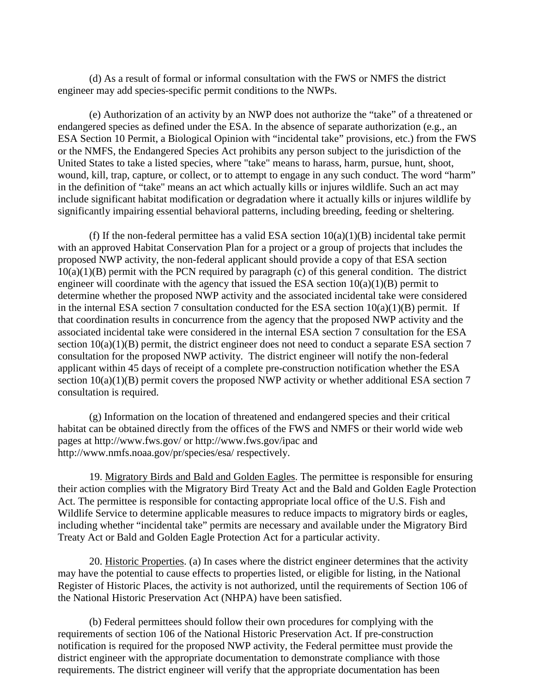(d) As a result of formal or informal consultation with the FWS or NMFS the district engineer may add species-specific permit conditions to the NWPs.

(e) Authorization of an activity by an NWP does not authorize the "take" of a threatened or endangered species as defined under the ESA. In the absence of separate authorization (e.g., an ESA Section 10 Permit, a Biological Opinion with "incidental take" provisions, etc.) from the FWS or the NMFS, the Endangered Species Act prohibits any person subject to the jurisdiction of the United States to take a listed species, where "take" means to harass, harm, pursue, hunt, shoot, wound, kill, trap, capture, or collect, or to attempt to engage in any such conduct. The word "harm" in the definition of "take'' means an act which actually kills or injures wildlife. Such an act may include significant habitat modification or degradation where it actually kills or injures wildlife by significantly impairing essential behavioral patterns, including breeding, feeding or sheltering.

(f) If the non-federal permittee has a valid ESA section  $10(a)(1)(B)$  incidental take permit with an approved Habitat Conservation Plan for a project or a group of projects that includes the proposed NWP activity, the non-federal applicant should provide a copy of that ESA section  $10(a)(1)(B)$  permit with the PCN required by paragraph (c) of this general condition. The district engineer will coordinate with the agency that issued the ESA section  $10(a)(1)(B)$  permit to determine whether the proposed NWP activity and the associated incidental take were considered in the internal ESA section 7 consultation conducted for the ESA section  $10(a)(1)(B)$  permit. If that coordination results in concurrence from the agency that the proposed NWP activity and the associated incidental take were considered in the internal ESA section 7 consultation for the ESA section  $10(a)(1)(B)$  permit, the district engineer does not need to conduct a separate ESA section 7 consultation for the proposed NWP activity. The district engineer will notify the non-federal applicant within 45 days of receipt of a complete pre-construction notification whether the ESA section  $10(a)(1)(B)$  permit covers the proposed NWP activity or whether additional ESA section 7 consultation is required.

(g) Information on the location of threatened and endangered species and their critical habitat can be obtained directly from the offices of the FWS and NMFS or their world wide web pages at http://www.fws.gov/ or http://www.fws.gov/ipac and http://www.nmfs.noaa.gov/pr/species/esa/ respectively.

19. Migratory Birds and Bald and Golden Eagles. The permittee is responsible for ensuring their action complies with the Migratory Bird Treaty Act and the Bald and Golden Eagle Protection Act. The permittee is responsible for contacting appropriate local office of the U.S. Fish and Wildlife Service to determine applicable measures to reduce impacts to migratory birds or eagles, including whether "incidental take" permits are necessary and available under the Migratory Bird Treaty Act or Bald and Golden Eagle Protection Act for a particular activity.

20. Historic Properties. (a) In cases where the district engineer determines that the activity may have the potential to cause effects to properties listed, or eligible for listing, in the National Register of Historic Places, the activity is not authorized, until the requirements of Section 106 of the National Historic Preservation Act (NHPA) have been satisfied.

(b) Federal permittees should follow their own procedures for complying with the requirements of section 106 of the National Historic Preservation Act. If pre-construction notification is required for the proposed NWP activity, the Federal permittee must provide the district engineer with the appropriate documentation to demonstrate compliance with those requirements. The district engineer will verify that the appropriate documentation has been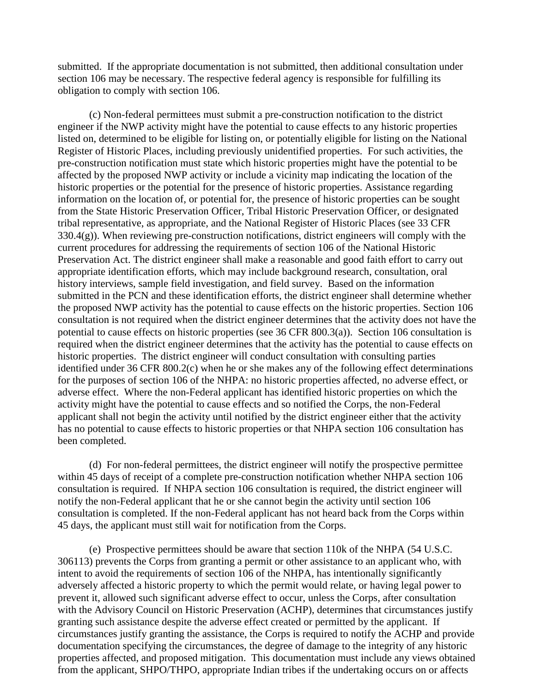submitted. If the appropriate documentation is not submitted, then additional consultation under section 106 may be necessary. The respective federal agency is responsible for fulfilling its obligation to comply with section 106.

(c) Non-federal permittees must submit a pre-construction notification to the district engineer if the NWP activity might have the potential to cause effects to any historic properties listed on, determined to be eligible for listing on, or potentially eligible for listing on the National Register of Historic Places, including previously unidentified properties. For such activities, the pre-construction notification must state which historic properties might have the potential to be affected by the proposed NWP activity or include a vicinity map indicating the location of the historic properties or the potential for the presence of historic properties. Assistance regarding information on the location of, or potential for, the presence of historic properties can be sought from the State Historic Preservation Officer, Tribal Historic Preservation Officer, or designated tribal representative, as appropriate, and the National Register of Historic Places (see 33 CFR 330.4(g)). When reviewing pre-construction notifications, district engineers will comply with the current procedures for addressing the requirements of section 106 of the National Historic Preservation Act. The district engineer shall make a reasonable and good faith effort to carry out appropriate identification efforts, which may include background research, consultation, oral history interviews, sample field investigation, and field survey. Based on the information submitted in the PCN and these identification efforts, the district engineer shall determine whether the proposed NWP activity has the potential to cause effects on the historic properties. Section 106 consultation is not required when the district engineer determines that the activity does not have the potential to cause effects on historic properties (see 36 CFR 800.3(a)). Section 106 consultation is required when the district engineer determines that the activity has the potential to cause effects on historic properties. The district engineer will conduct consultation with consulting parties identified under 36 CFR 800.2(c) when he or she makes any of the following effect determinations for the purposes of section 106 of the NHPA: no historic properties affected, no adverse effect, or adverse effect. Where the non-Federal applicant has identified historic properties on which the activity might have the potential to cause effects and so notified the Corps, the non-Federal applicant shall not begin the activity until notified by the district engineer either that the activity has no potential to cause effects to historic properties or that NHPA section 106 consultation has been completed.

(d) For non-federal permittees, the district engineer will notify the prospective permittee within 45 days of receipt of a complete pre-construction notification whether NHPA section 106 consultation is required. If NHPA section 106 consultation is required, the district engineer will notify the non-Federal applicant that he or she cannot begin the activity until section 106 consultation is completed. If the non-Federal applicant has not heard back from the Corps within 45 days, the applicant must still wait for notification from the Corps.

(e) Prospective permittees should be aware that section 110k of the NHPA (54 U.S.C. 306113) prevents the Corps from granting a permit or other assistance to an applicant who, with intent to avoid the requirements of section 106 of the NHPA, has intentionally significantly adversely affected a historic property to which the permit would relate, or having legal power to prevent it, allowed such significant adverse effect to occur, unless the Corps, after consultation with the Advisory Council on Historic Preservation (ACHP), determines that circumstances justify granting such assistance despite the adverse effect created or permitted by the applicant. If circumstances justify granting the assistance, the Corps is required to notify the ACHP and provide documentation specifying the circumstances, the degree of damage to the integrity of any historic properties affected, and proposed mitigation. This documentation must include any views obtained from the applicant, SHPO/THPO, appropriate Indian tribes if the undertaking occurs on or affects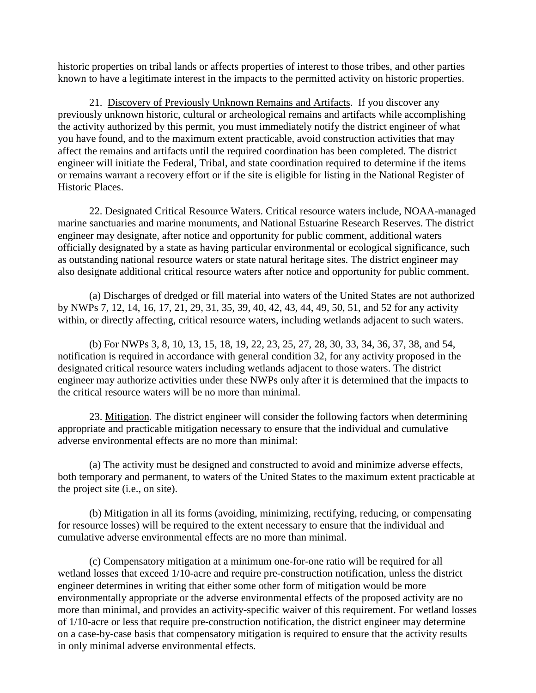historic properties on tribal lands or affects properties of interest to those tribes, and other parties known to have a legitimate interest in the impacts to the permitted activity on historic properties.

21. Discovery of Previously Unknown Remains and Artifacts. If you discover any previously unknown historic, cultural or archeological remains and artifacts while accomplishing the activity authorized by this permit, you must immediately notify the district engineer of what you have found, and to the maximum extent practicable, avoid construction activities that may affect the remains and artifacts until the required coordination has been completed. The district engineer will initiate the Federal, Tribal, and state coordination required to determine if the items or remains warrant a recovery effort or if the site is eligible for listing in the National Register of Historic Places.

22. Designated Critical Resource Waters. Critical resource waters include, NOAA-managed marine sanctuaries and marine monuments, and National Estuarine Research Reserves. The district engineer may designate, after notice and opportunity for public comment, additional waters officially designated by a state as having particular environmental or ecological significance, such as outstanding national resource waters or state natural heritage sites. The district engineer may also designate additional critical resource waters after notice and opportunity for public comment.

(a) Discharges of dredged or fill material into waters of the United States are not authorized by NWPs 7, 12, 14, 16, 17, 21, 29, 31, 35, 39, 40, 42, 43, 44, 49, 50, 51, and 52 for any activity within, or directly affecting, critical resource waters, including wetlands adjacent to such waters.

(b) For NWPs 3, 8, 10, 13, 15, 18, 19, 22, 23, 25, 27, 28, 30, 33, 34, 36, 37, 38, and 54, notification is required in accordance with general condition 32, for any activity proposed in the designated critical resource waters including wetlands adjacent to those waters. The district engineer may authorize activities under these NWPs only after it is determined that the impacts to the critical resource waters will be no more than minimal.

23. Mitigation. The district engineer will consider the following factors when determining appropriate and practicable mitigation necessary to ensure that the individual and cumulative adverse environmental effects are no more than minimal:

(a) The activity must be designed and constructed to avoid and minimize adverse effects, both temporary and permanent, to waters of the United States to the maximum extent practicable at the project site (i.e., on site).

(b) Mitigation in all its forms (avoiding, minimizing, rectifying, reducing, or compensating for resource losses) will be required to the extent necessary to ensure that the individual and cumulative adverse environmental effects are no more than minimal.

(c) Compensatory mitigation at a minimum one-for-one ratio will be required for all wetland losses that exceed 1/10-acre and require pre-construction notification, unless the district engineer determines in writing that either some other form of mitigation would be more environmentally appropriate or the adverse environmental effects of the proposed activity are no more than minimal, and provides an activity-specific waiver of this requirement. For wetland losses of 1/10-acre or less that require pre-construction notification, the district engineer may determine on a case-by-case basis that compensatory mitigation is required to ensure that the activity results in only minimal adverse environmental effects.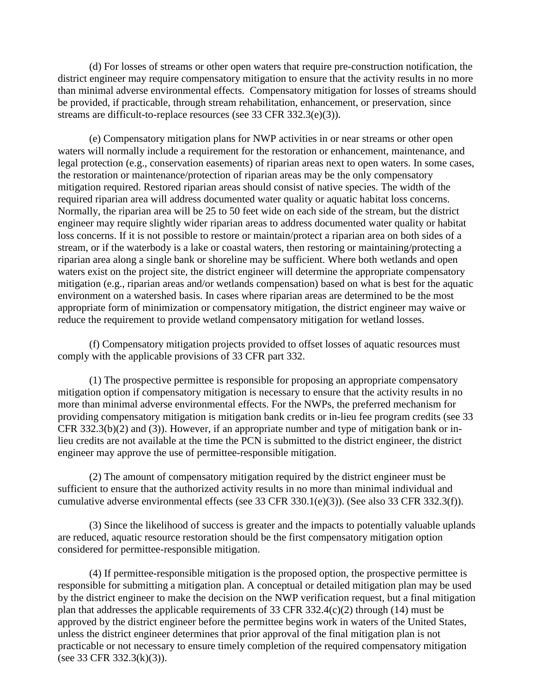(d) For losses of streams or other open waters that require pre-construction notification, the district engineer may require compensatory mitigation to ensure that the activity results in no more than minimal adverse environmental effects. Compensatory mitigation for losses of streams should be provided, if practicable, through stream rehabilitation, enhancement, or preservation, since streams are difficult-to-replace resources (see 33 CFR 332.3(e)(3)).

(e) Compensatory mitigation plans for NWP activities in or near streams or other open waters will normally include a requirement for the restoration or enhancement, maintenance, and legal protection (e.g., conservation easements) of riparian areas next to open waters. In some cases, the restoration or maintenance/protection of riparian areas may be the only compensatory mitigation required. Restored riparian areas should consist of native species. The width of the required riparian area will address documented water quality or aquatic habitat loss concerns. Normally, the riparian area will be 25 to 50 feet wide on each side of the stream, but the district engineer may require slightly wider riparian areas to address documented water quality or habitat loss concerns. If it is not possible to restore or maintain/protect a riparian area on both sides of a stream, or if the waterbody is a lake or coastal waters, then restoring or maintaining/protecting a riparian area along a single bank or shoreline may be sufficient. Where both wetlands and open waters exist on the project site, the district engineer will determine the appropriate compensatory mitigation (e.g., riparian areas and/or wetlands compensation) based on what is best for the aquatic environment on a watershed basis. In cases where riparian areas are determined to be the most appropriate form of minimization or compensatory mitigation, the district engineer may waive or reduce the requirement to provide wetland compensatory mitigation for wetland losses.

(f) Compensatory mitigation projects provided to offset losses of aquatic resources must comply with the applicable provisions of 33 CFR part 332.

(1) The prospective permittee is responsible for proposing an appropriate compensatory mitigation option if compensatory mitigation is necessary to ensure that the activity results in no more than minimal adverse environmental effects. For the NWPs, the preferred mechanism for providing compensatory mitigation is mitigation bank credits or in-lieu fee program credits (see 33 CFR 332.3(b)(2) and (3)). However, if an appropriate number and type of mitigation bank or inlieu credits are not available at the time the PCN is submitted to the district engineer, the district engineer may approve the use of permittee-responsible mitigation.

(2) The amount of compensatory mitigation required by the district engineer must be sufficient to ensure that the authorized activity results in no more than minimal individual and cumulative adverse environmental effects (see 33 CFR 330.1(e)(3)). (See also 33 CFR 332.3(f)).

(3) Since the likelihood of success is greater and the impacts to potentially valuable uplands are reduced, aquatic resource restoration should be the first compensatory mitigation option considered for permittee-responsible mitigation.

(4) If permittee-responsible mitigation is the proposed option, the prospective permittee is responsible for submitting a mitigation plan. A conceptual or detailed mitigation plan may be used by the district engineer to make the decision on the NWP verification request, but a final mitigation plan that addresses the applicable requirements of 33 CFR 332.4(c)(2) through (14) must be approved by the district engineer before the permittee begins work in waters of the United States, unless the district engineer determines that prior approval of the final mitigation plan is not practicable or not necessary to ensure timely completion of the required compensatory mitigation (see 33 CFR 332.3(k)(3)).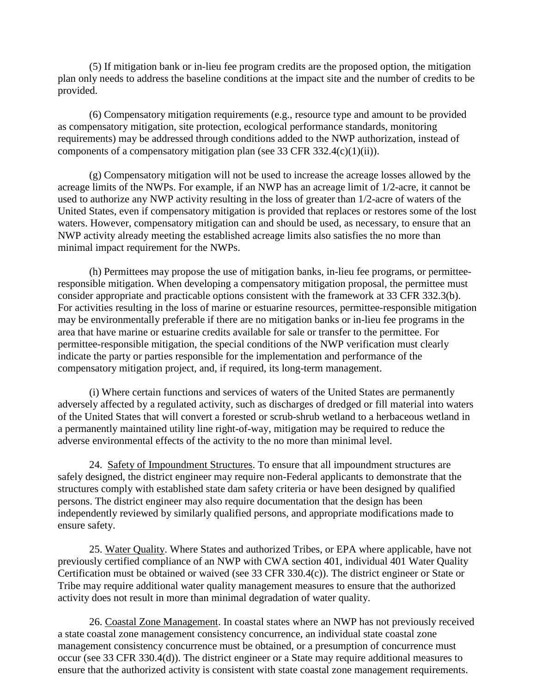(5) If mitigation bank or in-lieu fee program credits are the proposed option, the mitigation plan only needs to address the baseline conditions at the impact site and the number of credits to be provided.

(6) Compensatory mitigation requirements (e.g., resource type and amount to be provided as compensatory mitigation, site protection, ecological performance standards, monitoring requirements) may be addressed through conditions added to the NWP authorization, instead of components of a compensatory mitigation plan (see 33 CFR 332.4(c)(1)(ii)).

(g) Compensatory mitigation will not be used to increase the acreage losses allowed by the acreage limits of the NWPs. For example, if an NWP has an acreage limit of 1/2-acre, it cannot be used to authorize any NWP activity resulting in the loss of greater than 1/2-acre of waters of the United States, even if compensatory mitigation is provided that replaces or restores some of the lost waters. However, compensatory mitigation can and should be used, as necessary, to ensure that an NWP activity already meeting the established acreage limits also satisfies the no more than minimal impact requirement for the NWPs.

(h) Permittees may propose the use of mitigation banks, in-lieu fee programs, or permitteeresponsible mitigation. When developing a compensatory mitigation proposal, the permittee must consider appropriate and practicable options consistent with the framework at 33 CFR 332.3(b). For activities resulting in the loss of marine or estuarine resources, permittee-responsible mitigation may be environmentally preferable if there are no mitigation banks or in-lieu fee programs in the area that have marine or estuarine credits available for sale or transfer to the permittee. For permittee-responsible mitigation, the special conditions of the NWP verification must clearly indicate the party or parties responsible for the implementation and performance of the compensatory mitigation project, and, if required, its long-term management.

(i) Where certain functions and services of waters of the United States are permanently adversely affected by a regulated activity, such as discharges of dredged or fill material into waters of the United States that will convert a forested or scrub-shrub wetland to a herbaceous wetland in a permanently maintained utility line right-of-way, mitigation may be required to reduce the adverse environmental effects of the activity to the no more than minimal level.

24. Safety of Impoundment Structures. To ensure that all impoundment structures are safely designed, the district engineer may require non-Federal applicants to demonstrate that the structures comply with established state dam safety criteria or have been designed by qualified persons. The district engineer may also require documentation that the design has been independently reviewed by similarly qualified persons, and appropriate modifications made to ensure safety.

25. Water Quality. Where States and authorized Tribes, or EPA where applicable, have not previously certified compliance of an NWP with CWA section 401, individual 401 Water Quality Certification must be obtained or waived (see 33 CFR 330.4(c)). The district engineer or State or Tribe may require additional water quality management measures to ensure that the authorized activity does not result in more than minimal degradation of water quality.

26. Coastal Zone Management. In coastal states where an NWP has not previously received a state coastal zone management consistency concurrence, an individual state coastal zone management consistency concurrence must be obtained, or a presumption of concurrence must occur (see 33 CFR 330.4(d)). The district engineer or a State may require additional measures to ensure that the authorized activity is consistent with state coastal zone management requirements.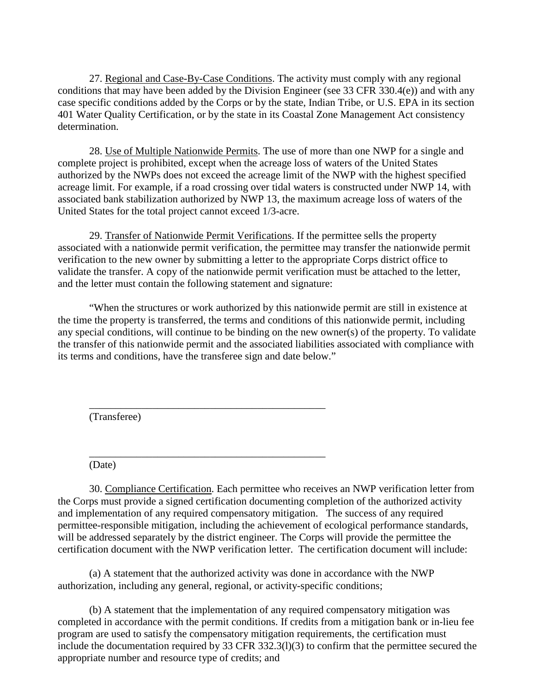27. Regional and Case-By-Case Conditions. The activity must comply with any regional conditions that may have been added by the Division Engineer (see 33 CFR 330.4(e)) and with any case specific conditions added by the Corps or by the state, Indian Tribe, or U.S. EPA in its section 401 Water Quality Certification, or by the state in its Coastal Zone Management Act consistency determination.

28. Use of Multiple Nationwide Permits. The use of more than one NWP for a single and complete project is prohibited, except when the acreage loss of waters of the United States authorized by the NWPs does not exceed the acreage limit of the NWP with the highest specified acreage limit. For example, if a road crossing over tidal waters is constructed under NWP 14, with associated bank stabilization authorized by NWP 13, the maximum acreage loss of waters of the United States for the total project cannot exceed 1/3-acre.

29. Transfer of Nationwide Permit Verifications. If the permittee sells the property associated with a nationwide permit verification, the permittee may transfer the nationwide permit verification to the new owner by submitting a letter to the appropriate Corps district office to validate the transfer. A copy of the nationwide permit verification must be attached to the letter, and the letter must contain the following statement and signature:

"When the structures or work authorized by this nationwide permit are still in existence at the time the property is transferred, the terms and conditions of this nationwide permit, including any special conditions, will continue to be binding on the new owner(s) of the property. To validate the transfer of this nationwide permit and the associated liabilities associated with compliance with its terms and conditions, have the transferee sign and date below."

(Transferee)

(Date)

30. Compliance Certification. Each permittee who receives an NWP verification letter from the Corps must provide a signed certification documenting completion of the authorized activity and implementation of any required compensatory mitigation. The success of any required permittee-responsible mitigation, including the achievement of ecological performance standards, will be addressed separately by the district engineer. The Corps will provide the permittee the certification document with the NWP verification letter. The certification document will include:

(a) A statement that the authorized activity was done in accordance with the NWP authorization, including any general, regional, or activity-specific conditions;

\_\_\_\_\_\_\_\_\_\_\_\_\_\_\_\_\_\_\_\_\_\_\_\_\_\_\_\_\_\_\_\_\_\_\_\_\_\_\_\_\_\_\_\_\_

\_\_\_\_\_\_\_\_\_\_\_\_\_\_\_\_\_\_\_\_\_\_\_\_\_\_\_\_\_\_\_\_\_\_\_\_\_\_\_\_\_\_\_\_\_

(b) A statement that the implementation of any required compensatory mitigation was completed in accordance with the permit conditions. If credits from a mitigation bank or in-lieu fee program are used to satisfy the compensatory mitigation requirements, the certification must include the documentation required by 33 CFR 332.3(l)(3) to confirm that the permittee secured the appropriate number and resource type of credits; and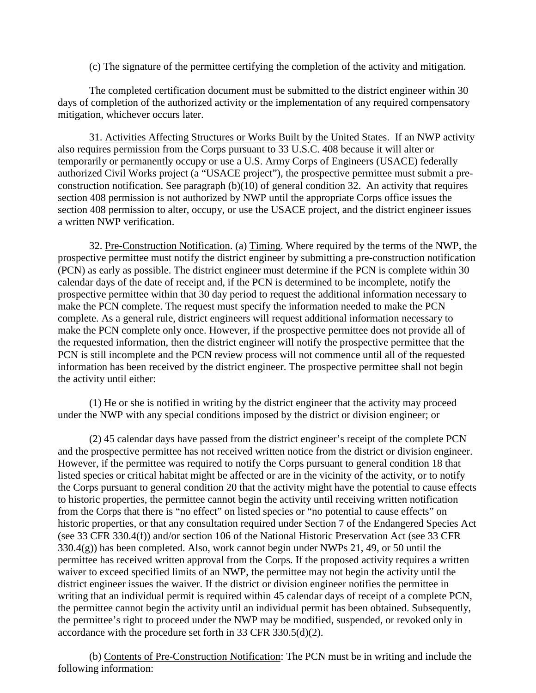(c) The signature of the permittee certifying the completion of the activity and mitigation.

The completed certification document must be submitted to the district engineer within 30 days of completion of the authorized activity or the implementation of any required compensatory mitigation, whichever occurs later.

31. Activities Affecting Structures or Works Built by the United States. If an NWP activity also requires permission from the Corps pursuant to 33 U.S.C. 408 because it will alter or temporarily or permanently occupy or use a U.S. Army Corps of Engineers (USACE) federally authorized Civil Works project (a "USACE project"), the prospective permittee must submit a preconstruction notification. See paragraph  $(b)(10)$  of general condition 32. An activity that requires section 408 permission is not authorized by NWP until the appropriate Corps office issues the section 408 permission to alter, occupy, or use the USACE project, and the district engineer issues a written NWP verification.

32. Pre-Construction Notification. (a) Timing. Where required by the terms of the NWP, the prospective permittee must notify the district engineer by submitting a pre-construction notification (PCN) as early as possible. The district engineer must determine if the PCN is complete within 30 calendar days of the date of receipt and, if the PCN is determined to be incomplete, notify the prospective permittee within that 30 day period to request the additional information necessary to make the PCN complete. The request must specify the information needed to make the PCN complete. As a general rule, district engineers will request additional information necessary to make the PCN complete only once. However, if the prospective permittee does not provide all of the requested information, then the district engineer will notify the prospective permittee that the PCN is still incomplete and the PCN review process will not commence until all of the requested information has been received by the district engineer. The prospective permittee shall not begin the activity until either:

(1) He or she is notified in writing by the district engineer that the activity may proceed under the NWP with any special conditions imposed by the district or division engineer; or

(2) 45 calendar days have passed from the district engineer's receipt of the complete PCN and the prospective permittee has not received written notice from the district or division engineer. However, if the permittee was required to notify the Corps pursuant to general condition 18 that listed species or critical habitat might be affected or are in the vicinity of the activity, or to notify the Corps pursuant to general condition 20 that the activity might have the potential to cause effects to historic properties, the permittee cannot begin the activity until receiving written notification from the Corps that there is "no effect" on listed species or "no potential to cause effects" on historic properties, or that any consultation required under Section 7 of the Endangered Species Act (see 33 CFR 330.4(f)) and/or section 106 of the National Historic Preservation Act (see 33 CFR 330.4(g)) has been completed. Also, work cannot begin under NWPs 21, 49, or 50 until the permittee has received written approval from the Corps. If the proposed activity requires a written waiver to exceed specified limits of an NWP, the permittee may not begin the activity until the district engineer issues the waiver. If the district or division engineer notifies the permittee in writing that an individual permit is required within 45 calendar days of receipt of a complete PCN, the permittee cannot begin the activity until an individual permit has been obtained. Subsequently, the permittee's right to proceed under the NWP may be modified, suspended, or revoked only in accordance with the procedure set forth in 33 CFR 330.5(d)(2).

(b) Contents of Pre-Construction Notification: The PCN must be in writing and include the following information: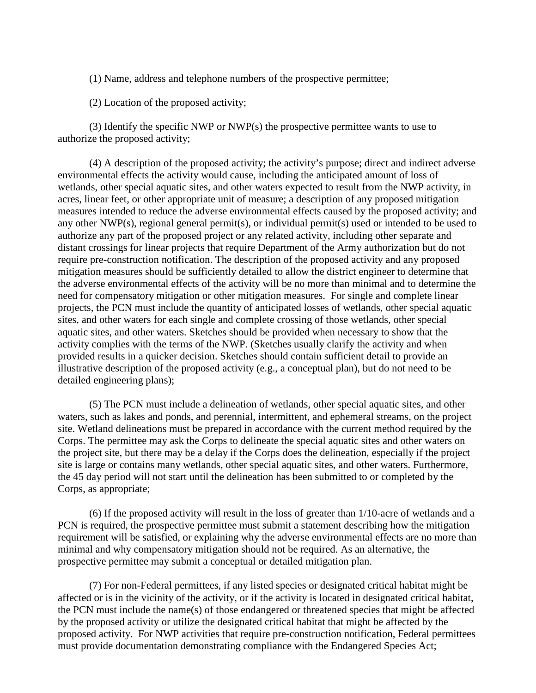(1) Name, address and telephone numbers of the prospective permittee;

(2) Location of the proposed activity;

(3) Identify the specific NWP or NWP(s) the prospective permittee wants to use to authorize the proposed activity;

(4) A description of the proposed activity; the activity's purpose; direct and indirect adverse environmental effects the activity would cause, including the anticipated amount of loss of wetlands, other special aquatic sites, and other waters expected to result from the NWP activity, in acres, linear feet, or other appropriate unit of measure; a description of any proposed mitigation measures intended to reduce the adverse environmental effects caused by the proposed activity; and any other NWP(s), regional general permit(s), or individual permit(s) used or intended to be used to authorize any part of the proposed project or any related activity, including other separate and distant crossings for linear projects that require Department of the Army authorization but do not require pre-construction notification. The description of the proposed activity and any proposed mitigation measures should be sufficiently detailed to allow the district engineer to determine that the adverse environmental effects of the activity will be no more than minimal and to determine the need for compensatory mitigation or other mitigation measures. For single and complete linear projects, the PCN must include the quantity of anticipated losses of wetlands, other special aquatic sites, and other waters for each single and complete crossing of those wetlands, other special aquatic sites, and other waters. Sketches should be provided when necessary to show that the activity complies with the terms of the NWP. (Sketches usually clarify the activity and when provided results in a quicker decision. Sketches should contain sufficient detail to provide an illustrative description of the proposed activity (e.g., a conceptual plan), but do not need to be detailed engineering plans);

(5) The PCN must include a delineation of wetlands, other special aquatic sites, and other waters, such as lakes and ponds, and perennial, intermittent, and ephemeral streams, on the project site. Wetland delineations must be prepared in accordance with the current method required by the Corps. The permittee may ask the Corps to delineate the special aquatic sites and other waters on the project site, but there may be a delay if the Corps does the delineation, especially if the project site is large or contains many wetlands, other special aquatic sites, and other waters. Furthermore, the 45 day period will not start until the delineation has been submitted to or completed by the Corps, as appropriate;

(6) If the proposed activity will result in the loss of greater than 1/10-acre of wetlands and a PCN is required, the prospective permittee must submit a statement describing how the mitigation requirement will be satisfied, or explaining why the adverse environmental effects are no more than minimal and why compensatory mitigation should not be required. As an alternative, the prospective permittee may submit a conceptual or detailed mitigation plan.

(7) For non-Federal permittees, if any listed species or designated critical habitat might be affected or is in the vicinity of the activity, or if the activity is located in designated critical habitat, the PCN must include the name(s) of those endangered or threatened species that might be affected by the proposed activity or utilize the designated critical habitat that might be affected by the proposed activity. For NWP activities that require pre-construction notification, Federal permittees must provide documentation demonstrating compliance with the Endangered Species Act;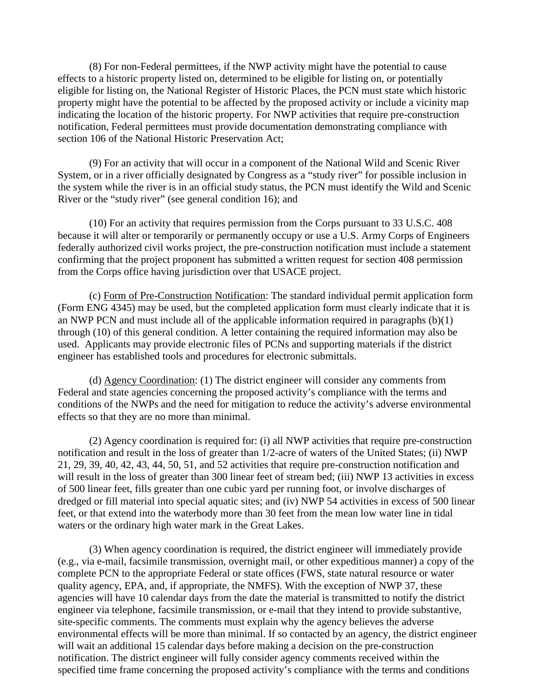(8) For non-Federal permittees, if the NWP activity might have the potential to cause effects to a historic property listed on, determined to be eligible for listing on, or potentially eligible for listing on, the National Register of Historic Places, the PCN must state which historic property might have the potential to be affected by the proposed activity or include a vicinity map indicating the location of the historic property. For NWP activities that require pre-construction notification, Federal permittees must provide documentation demonstrating compliance with section 106 of the National Historic Preservation Act;

(9) For an activity that will occur in a component of the National Wild and Scenic River System, or in a river officially designated by Congress as a "study river" for possible inclusion in the system while the river is in an official study status, the PCN must identify the Wild and Scenic River or the "study river" (see general condition 16); and

(10) For an activity that requires permission from the Corps pursuant to 33 U.S.C. 408 because it will alter or temporarily or permanently occupy or use a U.S. Army Corps of Engineers federally authorized civil works project, the pre-construction notification must include a statement confirming that the project proponent has submitted a written request for section 408 permission from the Corps office having jurisdiction over that USACE project.

(c) Form of Pre-Construction Notification: The standard individual permit application form (Form ENG 4345) may be used, but the completed application form must clearly indicate that it is an NWP PCN and must include all of the applicable information required in paragraphs (b)(1) through (10) of this general condition. A letter containing the required information may also be used. Applicants may provide electronic files of PCNs and supporting materials if the district engineer has established tools and procedures for electronic submittals.

(d) Agency Coordination: (1) The district engineer will consider any comments from Federal and state agencies concerning the proposed activity's compliance with the terms and conditions of the NWPs and the need for mitigation to reduce the activity's adverse environmental effects so that they are no more than minimal.

(2) Agency coordination is required for: (i) all NWP activities that require pre-construction notification and result in the loss of greater than 1/2-acre of waters of the United States; (ii) NWP 21, 29, 39, 40, 42, 43, 44, 50, 51, and 52 activities that require pre-construction notification and will result in the loss of greater than 300 linear feet of stream bed; (iii) NWP 13 activities in excess of 500 linear feet, fills greater than one cubic yard per running foot, or involve discharges of dredged or fill material into special aquatic sites; and (iv) NWP 54 activities in excess of 500 linear feet, or that extend into the waterbody more than 30 feet from the mean low water line in tidal waters or the ordinary high water mark in the Great Lakes.

(3) When agency coordination is required, the district engineer will immediately provide (e.g., via e-mail, facsimile transmission, overnight mail, or other expeditious manner) a copy of the complete PCN to the appropriate Federal or state offices (FWS, state natural resource or water quality agency, EPA, and, if appropriate, the NMFS). With the exception of NWP 37, these agencies will have 10 calendar days from the date the material is transmitted to notify the district engineer via telephone, facsimile transmission, or e-mail that they intend to provide substantive, site-specific comments. The comments must explain why the agency believes the adverse environmental effects will be more than minimal. If so contacted by an agency, the district engineer will wait an additional 15 calendar days before making a decision on the pre-construction notification. The district engineer will fully consider agency comments received within the specified time frame concerning the proposed activity's compliance with the terms and conditions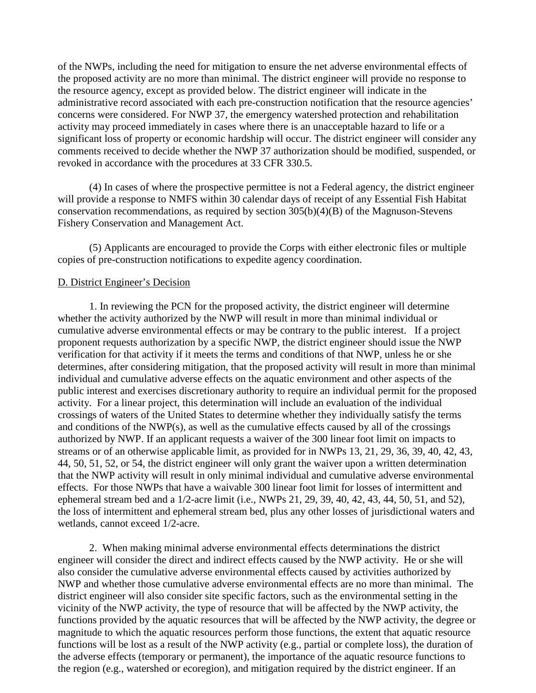of the NWPs, including the need for mitigation to ensure the net adverse environmental effects of the proposed activity are no more than minimal. The district engineer will provide no response to the resource agency, except as provided below. The district engineer will indicate in the administrative record associated with each pre-construction notification that the resource agencies' concerns were considered. For NWP 37, the emergency watershed protection and rehabilitation activity may proceed immediately in cases where there is an unacceptable hazard to life or a significant loss of property or economic hardship will occur. The district engineer will consider any comments received to decide whether the NWP 37 authorization should be modified, suspended, or revoked in accordance with the procedures at 33 CFR 330.5.

(4) In cases of where the prospective permittee is not a Federal agency, the district engineer will provide a response to NMFS within 30 calendar days of receipt of any Essential Fish Habitat conservation recommendations, as required by section 305(b)(4)(B) of the Magnuson-Stevens Fishery Conservation and Management Act.

(5) Applicants are encouraged to provide the Corps with either electronic files or multiple copies of pre-construction notifications to expedite agency coordination.

## D. District Engineer's Decision

1. In reviewing the PCN for the proposed activity, the district engineer will determine whether the activity authorized by the NWP will result in more than minimal individual or cumulative adverse environmental effects or may be contrary to the public interest. If a project proponent requests authorization by a specific NWP, the district engineer should issue the NWP verification for that activity if it meets the terms and conditions of that NWP, unless he or she determines, after considering mitigation, that the proposed activity will result in more than minimal individual and cumulative adverse effects on the aquatic environment and other aspects of the public interest and exercises discretionary authority to require an individual permit for the proposed activity. For a linear project, this determination will include an evaluation of the individual crossings of waters of the United States to determine whether they individually satisfy the terms and conditions of the NWP(s), as well as the cumulative effects caused by all of the crossings authorized by NWP. If an applicant requests a waiver of the 300 linear foot limit on impacts to streams or of an otherwise applicable limit, as provided for in NWPs 13, 21, 29, 36, 39, 40, 42, 43, 44, 50, 51, 52, or 54, the district engineer will only grant the waiver upon a written determination that the NWP activity will result in only minimal individual and cumulative adverse environmental effects. For those NWPs that have a waivable 300 linear foot limit for losses of intermittent and ephemeral stream bed and a 1/2-acre limit (i.e., NWPs 21, 29, 39, 40, 42, 43, 44, 50, 51, and 52), the loss of intermittent and ephemeral stream bed, plus any other losses of jurisdictional waters and wetlands, cannot exceed 1/2-acre.

2. When making minimal adverse environmental effects determinations the district engineer will consider the direct and indirect effects caused by the NWP activity. He or she will also consider the cumulative adverse environmental effects caused by activities authorized by NWP and whether those cumulative adverse environmental effects are no more than minimal. The district engineer will also consider site specific factors, such as the environmental setting in the vicinity of the NWP activity, the type of resource that will be affected by the NWP activity, the functions provided by the aquatic resources that will be affected by the NWP activity, the degree or magnitude to which the aquatic resources perform those functions, the extent that aquatic resource functions will be lost as a result of the NWP activity (e.g., partial or complete loss), the duration of the adverse effects (temporary or permanent), the importance of the aquatic resource functions to the region (e.g., watershed or ecoregion), and mitigation required by the district engineer. If an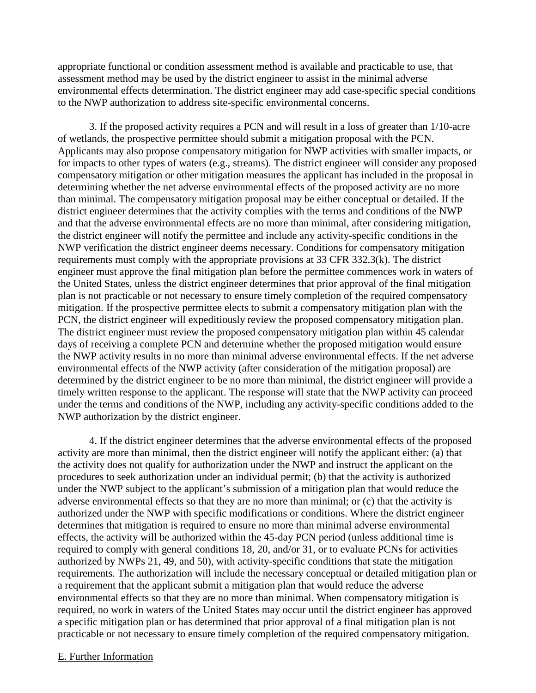appropriate functional or condition assessment method is available and practicable to use, that assessment method may be used by the district engineer to assist in the minimal adverse environmental effects determination. The district engineer may add case-specific special conditions to the NWP authorization to address site-specific environmental concerns.

3. If the proposed activity requires a PCN and will result in a loss of greater than 1/10-acre of wetlands, the prospective permittee should submit a mitigation proposal with the PCN. Applicants may also propose compensatory mitigation for NWP activities with smaller impacts, or for impacts to other types of waters (e.g., streams). The district engineer will consider any proposed compensatory mitigation or other mitigation measures the applicant has included in the proposal in determining whether the net adverse environmental effects of the proposed activity are no more than minimal. The compensatory mitigation proposal may be either conceptual or detailed. If the district engineer determines that the activity complies with the terms and conditions of the NWP and that the adverse environmental effects are no more than minimal, after considering mitigation, the district engineer will notify the permittee and include any activity-specific conditions in the NWP verification the district engineer deems necessary. Conditions for compensatory mitigation requirements must comply with the appropriate provisions at 33 CFR 332.3(k). The district engineer must approve the final mitigation plan before the permittee commences work in waters of the United States, unless the district engineer determines that prior approval of the final mitigation plan is not practicable or not necessary to ensure timely completion of the required compensatory mitigation. If the prospective permittee elects to submit a compensatory mitigation plan with the PCN, the district engineer will expeditiously review the proposed compensatory mitigation plan. The district engineer must review the proposed compensatory mitigation plan within 45 calendar days of receiving a complete PCN and determine whether the proposed mitigation would ensure the NWP activity results in no more than minimal adverse environmental effects. If the net adverse environmental effects of the NWP activity (after consideration of the mitigation proposal) are determined by the district engineer to be no more than minimal, the district engineer will provide a timely written response to the applicant. The response will state that the NWP activity can proceed under the terms and conditions of the NWP, including any activity-specific conditions added to the NWP authorization by the district engineer.

4. If the district engineer determines that the adverse environmental effects of the proposed activity are more than minimal, then the district engineer will notify the applicant either: (a) that the activity does not qualify for authorization under the NWP and instruct the applicant on the procedures to seek authorization under an individual permit; (b) that the activity is authorized under the NWP subject to the applicant's submission of a mitigation plan that would reduce the adverse environmental effects so that they are no more than minimal; or (c) that the activity is authorized under the NWP with specific modifications or conditions. Where the district engineer determines that mitigation is required to ensure no more than minimal adverse environmental effects, the activity will be authorized within the 45-day PCN period (unless additional time is required to comply with general conditions 18, 20, and/or 31, or to evaluate PCNs for activities authorized by NWPs 21, 49, and 50), with activity-specific conditions that state the mitigation requirements. The authorization will include the necessary conceptual or detailed mitigation plan or a requirement that the applicant submit a mitigation plan that would reduce the adverse environmental effects so that they are no more than minimal. When compensatory mitigation is required, no work in waters of the United States may occur until the district engineer has approved a specific mitigation plan or has determined that prior approval of a final mitigation plan is not practicable or not necessary to ensure timely completion of the required compensatory mitigation.

## E. Further Information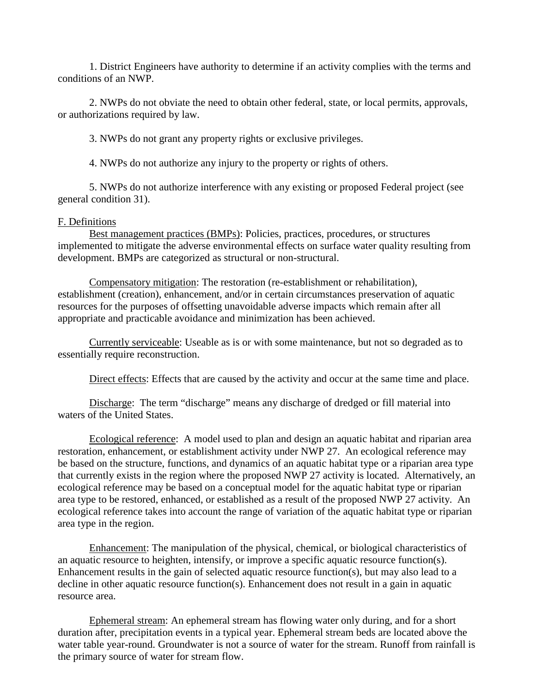1. District Engineers have authority to determine if an activity complies with the terms and conditions of an NWP.

2. NWPs do not obviate the need to obtain other federal, state, or local permits, approvals, or authorizations required by law.

3. NWPs do not grant any property rights or exclusive privileges.

4. NWPs do not authorize any injury to the property or rights of others.

5. NWPs do not authorize interference with any existing or proposed Federal project (see general condition 31).

### F. Definitions

Best management practices (BMPs): Policies, practices, procedures, or structures implemented to mitigate the adverse environmental effects on surface water quality resulting from development. BMPs are categorized as structural or non-structural.

Compensatory mitigation: The restoration (re-establishment or rehabilitation), establishment (creation), enhancement, and/or in certain circumstances preservation of aquatic resources for the purposes of offsetting unavoidable adverse impacts which remain after all appropriate and practicable avoidance and minimization has been achieved.

Currently serviceable: Useable as is or with some maintenance, but not so degraded as to essentially require reconstruction.

Direct effects: Effects that are caused by the activity and occur at the same time and place.

Discharge: The term "discharge" means any discharge of dredged or fill material into waters of the United States.

Ecological reference: A model used to plan and design an aquatic habitat and riparian area restoration, enhancement, or establishment activity under NWP 27. An ecological reference may be based on the structure, functions, and dynamics of an aquatic habitat type or a riparian area type that currently exists in the region where the proposed NWP 27 activity is located. Alternatively, an ecological reference may be based on a conceptual model for the aquatic habitat type or riparian area type to be restored, enhanced, or established as a result of the proposed NWP 27 activity. An ecological reference takes into account the range of variation of the aquatic habitat type or riparian area type in the region.

Enhancement: The manipulation of the physical, chemical, or biological characteristics of an aquatic resource to heighten, intensify, or improve a specific aquatic resource function(s). Enhancement results in the gain of selected aquatic resource function(s), but may also lead to a decline in other aquatic resource function(s). Enhancement does not result in a gain in aquatic resource area.

Ephemeral stream: An ephemeral stream has flowing water only during, and for a short duration after, precipitation events in a typical year. Ephemeral stream beds are located above the water table year-round. Groundwater is not a source of water for the stream. Runoff from rainfall is the primary source of water for stream flow.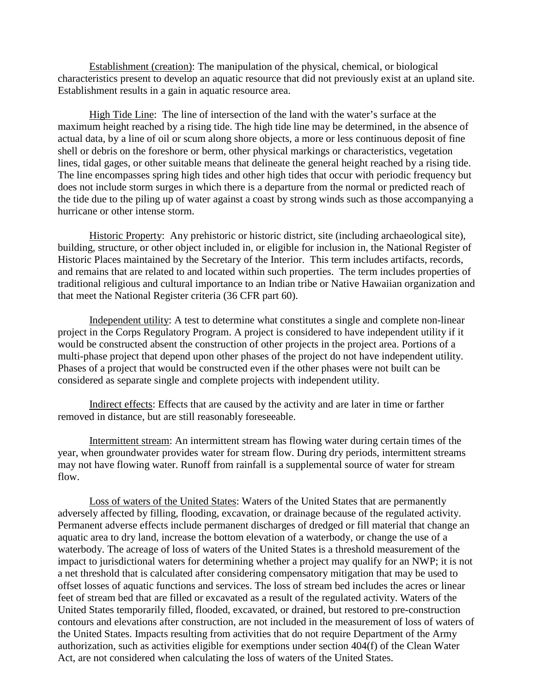Establishment (creation): The manipulation of the physical, chemical, or biological characteristics present to develop an aquatic resource that did not previously exist at an upland site. Establishment results in a gain in aquatic resource area.

High Tide Line: The line of intersection of the land with the water's surface at the maximum height reached by a rising tide. The high tide line may be determined, in the absence of actual data, by a line of oil or scum along shore objects, a more or less continuous deposit of fine shell or debris on the foreshore or berm, other physical markings or characteristics, vegetation lines, tidal gages, or other suitable means that delineate the general height reached by a rising tide. The line encompasses spring high tides and other high tides that occur with periodic frequency but does not include storm surges in which there is a departure from the normal or predicted reach of the tide due to the piling up of water against a coast by strong winds such as those accompanying a hurricane or other intense storm.

Historic Property: Any prehistoric or historic district, site (including archaeological site), building, structure, or other object included in, or eligible for inclusion in, the National Register of Historic Places maintained by the Secretary of the Interior. This term includes artifacts, records, and remains that are related to and located within such properties. The term includes properties of traditional religious and cultural importance to an Indian tribe or Native Hawaiian organization and that meet the National Register criteria (36 CFR part 60).

Independent utility: A test to determine what constitutes a single and complete non-linear project in the Corps Regulatory Program. A project is considered to have independent utility if it would be constructed absent the construction of other projects in the project area. Portions of a multi-phase project that depend upon other phases of the project do not have independent utility. Phases of a project that would be constructed even if the other phases were not built can be considered as separate single and complete projects with independent utility.

Indirect effects: Effects that are caused by the activity and are later in time or farther removed in distance, but are still reasonably foreseeable.

Intermittent stream: An intermittent stream has flowing water during certain times of the year, when groundwater provides water for stream flow. During dry periods, intermittent streams may not have flowing water. Runoff from rainfall is a supplemental source of water for stream flow.

Loss of waters of the United States: Waters of the United States that are permanently adversely affected by filling, flooding, excavation, or drainage because of the regulated activity. Permanent adverse effects include permanent discharges of dredged or fill material that change an aquatic area to dry land, increase the bottom elevation of a waterbody, or change the use of a waterbody. The acreage of loss of waters of the United States is a threshold measurement of the impact to jurisdictional waters for determining whether a project may qualify for an NWP; it is not a net threshold that is calculated after considering compensatory mitigation that may be used to offset losses of aquatic functions and services. The loss of stream bed includes the acres or linear feet of stream bed that are filled or excavated as a result of the regulated activity. Waters of the United States temporarily filled, flooded, excavated, or drained, but restored to pre-construction contours and elevations after construction, are not included in the measurement of loss of waters of the United States. Impacts resulting from activities that do not require Department of the Army authorization, such as activities eligible for exemptions under section 404(f) of the Clean Water Act, are not considered when calculating the loss of waters of the United States.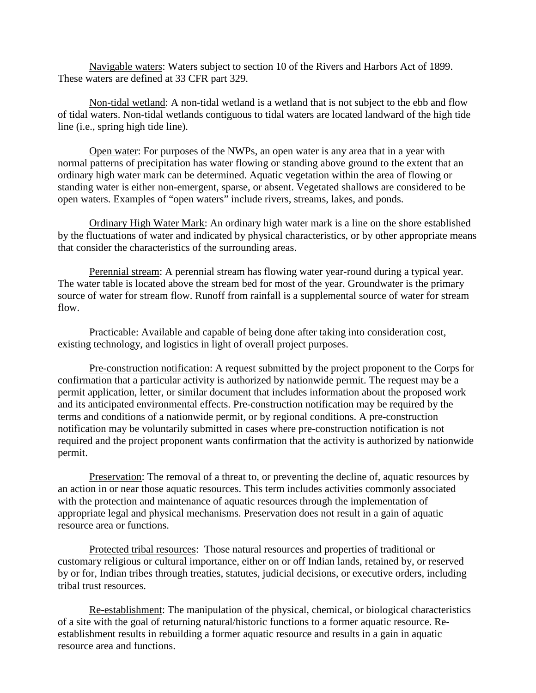Navigable waters: Waters subject to section 10 of the Rivers and Harbors Act of 1899. These waters are defined at 33 CFR part 329.

Non-tidal wetland: A non-tidal wetland is a wetland that is not subject to the ebb and flow of tidal waters. Non-tidal wetlands contiguous to tidal waters are located landward of the high tide line (i.e., spring high tide line).

Open water: For purposes of the NWPs, an open water is any area that in a year with normal patterns of precipitation has water flowing or standing above ground to the extent that an ordinary high water mark can be determined. Aquatic vegetation within the area of flowing or standing water is either non-emergent, sparse, or absent. Vegetated shallows are considered to be open waters. Examples of "open waters" include rivers, streams, lakes, and ponds.

Ordinary High Water Mark: An ordinary high water mark is a line on the shore established by the fluctuations of water and indicated by physical characteristics, or by other appropriate means that consider the characteristics of the surrounding areas.

Perennial stream: A perennial stream has flowing water year-round during a typical year. The water table is located above the stream bed for most of the year. Groundwater is the primary source of water for stream flow. Runoff from rainfall is a supplemental source of water for stream flow.

Practicable: Available and capable of being done after taking into consideration cost, existing technology, and logistics in light of overall project purposes.

Pre-construction notification: A request submitted by the project proponent to the Corps for confirmation that a particular activity is authorized by nationwide permit. The request may be a permit application, letter, or similar document that includes information about the proposed work and its anticipated environmental effects. Pre-construction notification may be required by the terms and conditions of a nationwide permit, or by regional conditions. A pre-construction notification may be voluntarily submitted in cases where pre-construction notification is not required and the project proponent wants confirmation that the activity is authorized by nationwide permit.

Preservation: The removal of a threat to, or preventing the decline of, aquatic resources by an action in or near those aquatic resources. This term includes activities commonly associated with the protection and maintenance of aquatic resources through the implementation of appropriate legal and physical mechanisms. Preservation does not result in a gain of aquatic resource area or functions.

Protected tribal resources: Those natural resources and properties of traditional or customary religious or cultural importance, either on or off Indian lands, retained by, or reserved by or for, Indian tribes through treaties, statutes, judicial decisions, or executive orders, including tribal trust resources.

Re-establishment: The manipulation of the physical, chemical, or biological characteristics of a site with the goal of returning natural/historic functions to a former aquatic resource. Reestablishment results in rebuilding a former aquatic resource and results in a gain in aquatic resource area and functions.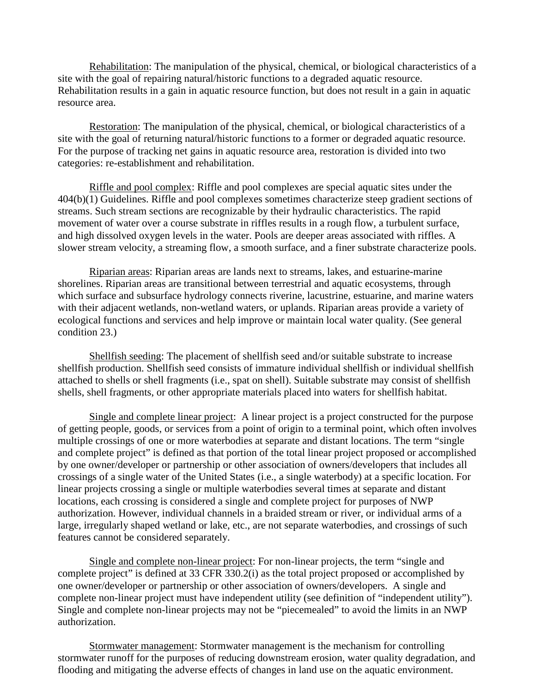Rehabilitation: The manipulation of the physical, chemical, or biological characteristics of a site with the goal of repairing natural/historic functions to a degraded aquatic resource. Rehabilitation results in a gain in aquatic resource function, but does not result in a gain in aquatic resource area.

Restoration: The manipulation of the physical, chemical, or biological characteristics of a site with the goal of returning natural/historic functions to a former or degraded aquatic resource. For the purpose of tracking net gains in aquatic resource area, restoration is divided into two categories: re-establishment and rehabilitation.

Riffle and pool complex: Riffle and pool complexes are special aquatic sites under the 404(b)(1) Guidelines. Riffle and pool complexes sometimes characterize steep gradient sections of streams. Such stream sections are recognizable by their hydraulic characteristics. The rapid movement of water over a course substrate in riffles results in a rough flow, a turbulent surface, and high dissolved oxygen levels in the water. Pools are deeper areas associated with riffles. A slower stream velocity, a streaming flow, a smooth surface, and a finer substrate characterize pools.

Riparian areas: Riparian areas are lands next to streams, lakes, and estuarine-marine shorelines. Riparian areas are transitional between terrestrial and aquatic ecosystems, through which surface and subsurface hydrology connects riverine, lacustrine, estuarine, and marine waters with their adjacent wetlands, non-wetland waters, or uplands. Riparian areas provide a variety of ecological functions and services and help improve or maintain local water quality. (See general condition 23.)

Shellfish seeding: The placement of shellfish seed and/or suitable substrate to increase shellfish production. Shellfish seed consists of immature individual shellfish or individual shellfish attached to shells or shell fragments (i.e., spat on shell). Suitable substrate may consist of shellfish shells, shell fragments, or other appropriate materials placed into waters for shellfish habitat.

Single and complete linear project: A linear project is a project constructed for the purpose of getting people, goods, or services from a point of origin to a terminal point, which often involves multiple crossings of one or more waterbodies at separate and distant locations. The term "single and complete project" is defined as that portion of the total linear project proposed or accomplished by one owner/developer or partnership or other association of owners/developers that includes all crossings of a single water of the United States (i.e., a single waterbody) at a specific location. For linear projects crossing a single or multiple waterbodies several times at separate and distant locations, each crossing is considered a single and complete project for purposes of NWP authorization. However, individual channels in a braided stream or river, or individual arms of a large, irregularly shaped wetland or lake, etc., are not separate waterbodies, and crossings of such features cannot be considered separately.

Single and complete non-linear project: For non-linear projects, the term "single and complete project" is defined at 33 CFR 330.2(i) as the total project proposed or accomplished by one owner/developer or partnership or other association of owners/developers. A single and complete non-linear project must have independent utility (see definition of "independent utility"). Single and complete non-linear projects may not be "piecemealed" to avoid the limits in an NWP authorization.

Stormwater management: Stormwater management is the mechanism for controlling stormwater runoff for the purposes of reducing downstream erosion, water quality degradation, and flooding and mitigating the adverse effects of changes in land use on the aquatic environment.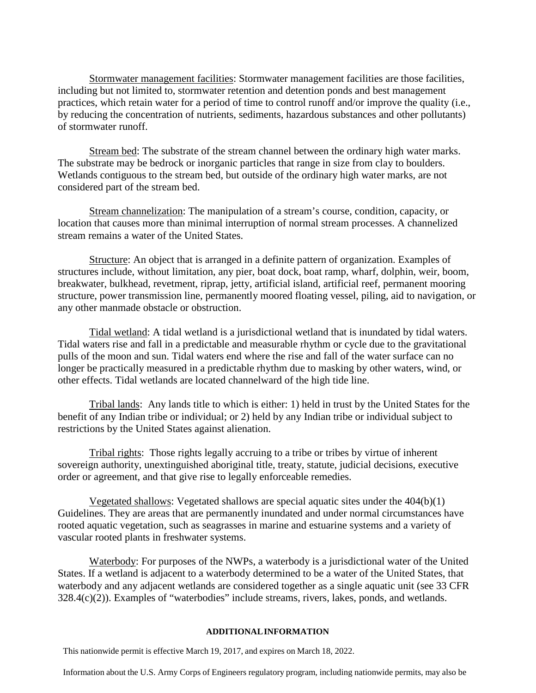Stormwater management facilities: Stormwater management facilities are those facilities, including but not limited to, stormwater retention and detention ponds and best management practices, which retain water for a period of time to control runoff and/or improve the quality (i.e., by reducing the concentration of nutrients, sediments, hazardous substances and other pollutants) of stormwater runoff.

Stream bed: The substrate of the stream channel between the ordinary high water marks. The substrate may be bedrock or inorganic particles that range in size from clay to boulders. Wetlands contiguous to the stream bed, but outside of the ordinary high water marks, are not considered part of the stream bed.

Stream channelization: The manipulation of a stream's course, condition, capacity, or location that causes more than minimal interruption of normal stream processes. A channelized stream remains a water of the United States.

Structure: An object that is arranged in a definite pattern of organization. Examples of structures include, without limitation, any pier, boat dock, boat ramp, wharf, dolphin, weir, boom, breakwater, bulkhead, revetment, riprap, jetty, artificial island, artificial reef, permanent mooring structure, power transmission line, permanently moored floating vessel, piling, aid to navigation, or any other manmade obstacle or obstruction.

Tidal wetland: A tidal wetland is a jurisdictional wetland that is inundated by tidal waters. Tidal waters rise and fall in a predictable and measurable rhythm or cycle due to the gravitational pulls of the moon and sun. Tidal waters end where the rise and fall of the water surface can no longer be practically measured in a predictable rhythm due to masking by other waters, wind, or other effects. Tidal wetlands are located channelward of the high tide line.

Tribal lands: Any lands title to which is either: 1) held in trust by the United States for the benefit of any Indian tribe or individual; or 2) held by any Indian tribe or individual subject to restrictions by the United States against alienation.

Tribal rights: Those rights legally accruing to a tribe or tribes by virtue of inherent sovereign authority, unextinguished aboriginal title, treaty, statute, judicial decisions, executive order or agreement, and that give rise to legally enforceable remedies.

Vegetated shallows: Vegetated shallows are special aquatic sites under the 404(b)(1) Guidelines. They are areas that are permanently inundated and under normal circumstances have rooted aquatic vegetation, such as seagrasses in marine and estuarine systems and a variety of vascular rooted plants in freshwater systems.

Waterbody: For purposes of the NWPs, a waterbody is a jurisdictional water of the United States. If a wetland is adjacent to a waterbody determined to be a water of the United States, that waterbody and any adjacent wetlands are considered together as a single aquatic unit (see 33 CFR  $328.4(c)(2)$ ). Examples of "waterbodies" include streams, rivers, lakes, ponds, and wetlands.

#### **ADDITIONALINFORMATION**

This nationwide permit is effective March 19, 2017, and expires on March 18, 2022.

Information about the U.S. Army Corps of Engineers regulatory program, including nationwide permits, may also be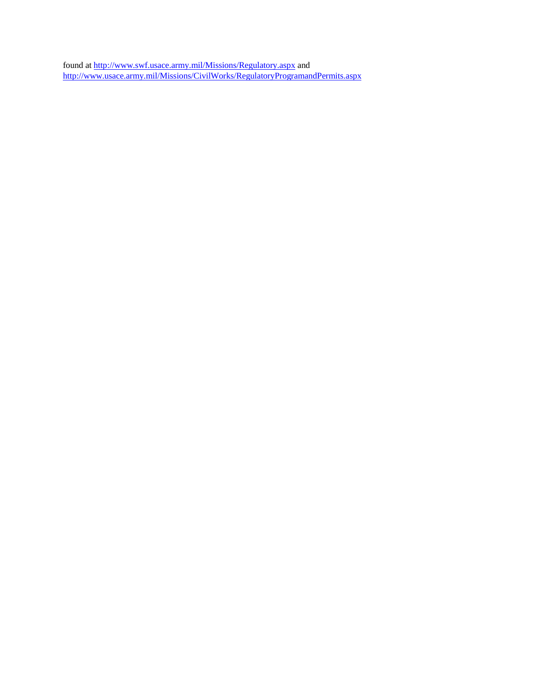found at<http://www.swf.usace.army.mil/Missions/Regulatory.aspx> and <http://www.usace.army.mil/Missions/CivilWorks/RegulatoryProgramandPermits.aspx>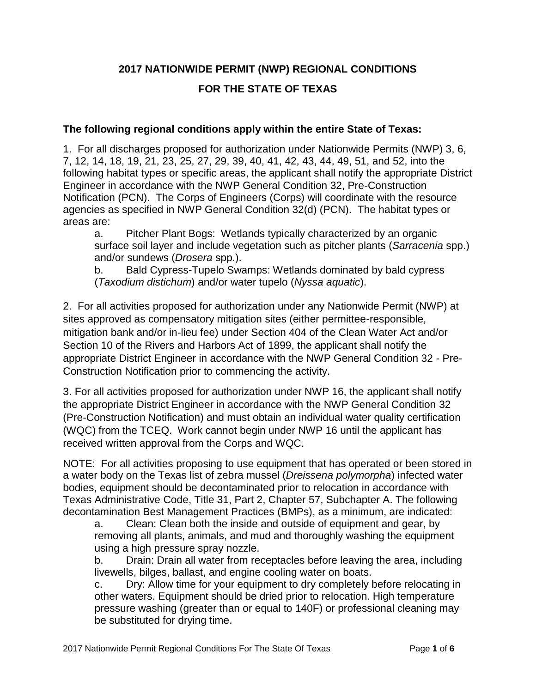# **2017 NATIONWIDE PERMIT (NWP) REGIONAL CONDITIONS FOR THE STATE OF TEXAS**

## **The following regional conditions apply within the entire State of Texas:**

1. For all discharges proposed for authorization under Nationwide Permits (NWP) 3, 6, 7, 12, 14, 18, 19, 21, 23, 25, 27, 29, 39, 40, 41, 42, 43, 44, 49, 51, and 52, into the following habitat types or specific areas, the applicant shall notify the appropriate District Engineer in accordance with the NWP General Condition 32, Pre-Construction Notification (PCN). The Corps of Engineers (Corps) will coordinate with the resource agencies as specified in NWP General Condition 32(d) (PCN). The habitat types or areas are:

a. Pitcher Plant Bogs: Wetlands typically characterized by an organic surface soil layer and include vegetation such as pitcher plants (*Sarracenia* spp.) and/or sundews (*Drosera* spp.).

b. Bald Cypress-Tupelo Swamps: Wetlands dominated by bald cypress (*Taxodium distichum*) and/or water tupelo (*Nyssa aquatic*).

2. For all activities proposed for authorization under any Nationwide Permit (NWP) at sites approved as compensatory mitigation sites (either permittee-responsible, mitigation bank and/or in-lieu fee) under Section 404 of the Clean Water Act and/or Section 10 of the Rivers and Harbors Act of 1899, the applicant shall notify the appropriate District Engineer in accordance with the NWP General Condition 32 - Pre-Construction Notification prior to commencing the activity.

3. For all activities proposed for authorization under NWP 16, the applicant shall notify the appropriate District Engineer in accordance with the NWP General Condition 32 (Pre-Construction Notification) and must obtain an individual water quality certification (WQC) from the TCEQ. Work cannot begin under NWP 16 until the applicant has received written approval from the Corps and WQC.

NOTE: For all activities proposing to use equipment that has operated or been stored in a water body on the Texas list of zebra mussel (*Dreissena polymorpha*) infected water bodies, equipment should be decontaminated prior to relocation in accordance with Texas Administrative Code, Title 31, Part 2, Chapter 57, Subchapter A. The following decontamination Best Management Practices (BMPs), as a minimum, are indicated:

a. Clean: Clean both the inside and outside of equipment and gear, by removing all plants, animals, and mud and thoroughly washing the equipment using a high pressure spray nozzle.

b. Drain: Drain all water from receptacles before leaving the area, including livewells, bilges, ballast, and engine cooling water on boats.

c. Dry: Allow time for your equipment to dry completely before relocating in other waters. Equipment should be dried prior to relocation. High temperature pressure washing (greater than or equal to 140F) or professional cleaning may be substituted for drying time.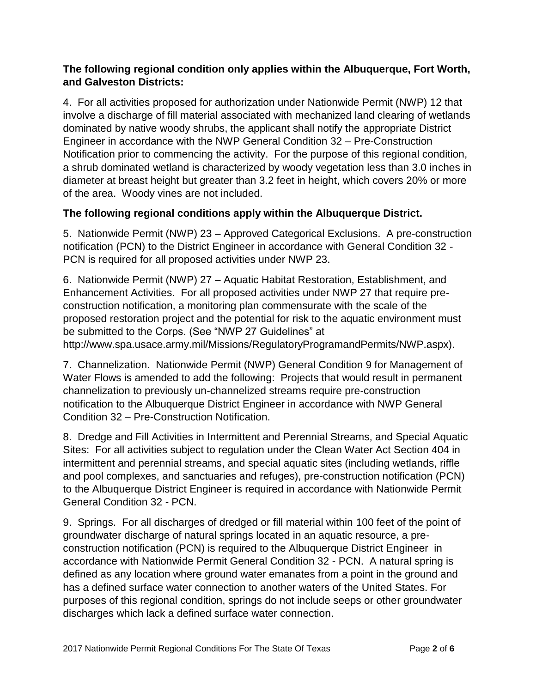# **The following regional condition only applies within the Albuquerque, Fort Worth, and Galveston Districts:**

4. For all activities proposed for authorization under Nationwide Permit (NWP) 12 that involve a discharge of fill material associated with mechanized land clearing of wetlands dominated by native woody shrubs, the applicant shall notify the appropriate District Engineer in accordance with the NWP General Condition 32 – Pre-Construction Notification prior to commencing the activity. For the purpose of this regional condition, a shrub dominated wetland is characterized by woody vegetation less than 3.0 inches in diameter at breast height but greater than 3.2 feet in height, which covers 20% or more of the area. Woody vines are not included.

# **The following regional conditions apply within the Albuquerque District.**

5. Nationwide Permit (NWP) 23 – Approved Categorical Exclusions. A pre-construction notification (PCN) to the District Engineer in accordance with General Condition 32 - PCN is required for all proposed activities under NWP 23.

6. Nationwide Permit (NWP) 27 – Aquatic Habitat Restoration, Establishment, and Enhancement Activities. For all proposed activities under NWP 27 that require preconstruction notification, a monitoring plan commensurate with the scale of the proposed restoration project and the potential for risk to the aquatic environment must be submitted to the Corps. (See "NWP 27 Guidelines" at http://www.spa.usace.army.mil/Missions/RegulatoryProgramandPermits/NWP.aspx).

7. Channelization. Nationwide Permit (NWP) General Condition 9 for Management of Water Flows is amended to add the following: Projects that would result in permanent channelization to previously un-channelized streams require pre-construction notification to the Albuquerque District Engineer in accordance with NWP General Condition 32 – Pre-Construction Notification.

8. Dredge and Fill Activities in Intermittent and Perennial Streams, and Special Aquatic Sites: For all activities subject to regulation under the Clean Water Act Section 404 in intermittent and perennial streams, and special aquatic sites (including wetlands, riffle and pool complexes, and sanctuaries and refuges), pre-construction notification (PCN) to the Albuquerque District Engineer is required in accordance with Nationwide Permit General Condition 32 - PCN.

9. Springs. For all discharges of dredged or fill material within 100 feet of the point of groundwater discharge of natural springs located in an aquatic resource, a preconstruction notification (PCN) is required to the Albuquerque District Engineer in accordance with Nationwide Permit General Condition 32 - PCN. A natural spring is defined as any location where ground water emanates from a point in the ground and has a defined surface water connection to another waters of the United States. For purposes of this regional condition, springs do not include seeps or other groundwater discharges which lack a defined surface water connection.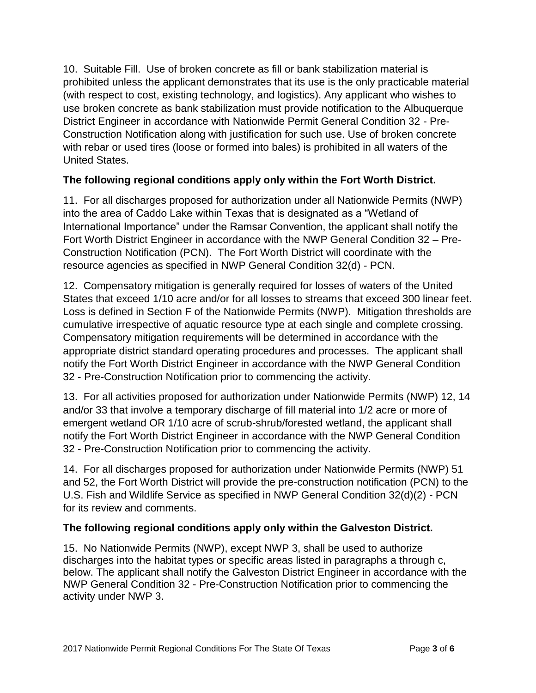10. Suitable Fill. Use of broken concrete as fill or bank stabilization material is prohibited unless the applicant demonstrates that its use is the only practicable material (with respect to cost, existing technology, and logistics). Any applicant who wishes to use broken concrete as bank stabilization must provide notification to the Albuquerque District Engineer in accordance with Nationwide Permit General Condition 32 - Pre-Construction Notification along with justification for such use. Use of broken concrete with rebar or used tires (loose or formed into bales) is prohibited in all waters of the United States.

# **The following regional conditions apply only within the Fort Worth District.**

11. For all discharges proposed for authorization under all Nationwide Permits (NWP) into the area of Caddo Lake within Texas that is designated as a "Wetland of International Importance" under the Ramsar Convention, the applicant shall notify the Fort Worth District Engineer in accordance with the NWP General Condition 32 – Pre-Construction Notification (PCN). The Fort Worth District will coordinate with the resource agencies as specified in NWP General Condition 32(d) - PCN.

12. Compensatory mitigation is generally required for losses of waters of the United States that exceed 1/10 acre and/or for all losses to streams that exceed 300 linear feet. Loss is defined in Section F of the Nationwide Permits (NWP). Mitigation thresholds are cumulative irrespective of aquatic resource type at each single and complete crossing. Compensatory mitigation requirements will be determined in accordance with the appropriate district standard operating procedures and processes. The applicant shall notify the Fort Worth District Engineer in accordance with the NWP General Condition 32 - Pre-Construction Notification prior to commencing the activity.

13. For all activities proposed for authorization under Nationwide Permits (NWP) 12, 14 and/or 33 that involve a temporary discharge of fill material into 1/2 acre or more of emergent wetland OR 1/10 acre of scrub-shrub/forested wetland, the applicant shall notify the Fort Worth District Engineer in accordance with the NWP General Condition 32 - Pre-Construction Notification prior to commencing the activity.

14. For all discharges proposed for authorization under Nationwide Permits (NWP) 51 and 52, the Fort Worth District will provide the pre-construction notification (PCN) to the U.S. Fish and Wildlife Service as specified in NWP General Condition 32(d)(2) - PCN for its review and comments.

# **The following regional conditions apply only within the Galveston District.**

15. No Nationwide Permits (NWP), except NWP 3, shall be used to authorize discharges into the habitat types or specific areas listed in paragraphs a through c, below. The applicant shall notify the Galveston District Engineer in accordance with the NWP General Condition 32 - Pre-Construction Notification prior to commencing the activity under NWP 3.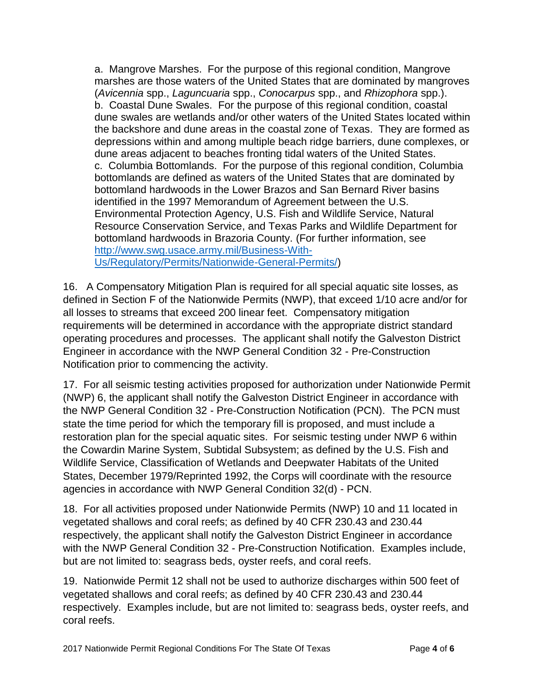a. Mangrove Marshes. For the purpose of this regional condition, Mangrove marshes are those waters of the United States that are dominated by mangroves (*Avicennia* spp., *Laguncuaria* spp., *Conocarpus* spp., and *Rhizophora* spp.). b. Coastal Dune Swales. For the purpose of this regional condition, coastal dune swales are wetlands and/or other waters of the United States located within the backshore and dune areas in the coastal zone of Texas. They are formed as depressions within and among multiple beach ridge barriers, dune complexes, or dune areas adjacent to beaches fronting tidal waters of the United States. c. Columbia Bottomlands. For the purpose of this regional condition, Columbia bottomlands are defined as waters of the United States that are dominated by bottomland hardwoods in the Lower Brazos and San Bernard River basins identified in the 1997 Memorandum of Agreement between the U.S. Environmental Protection Agency, U.S. Fish and Wildlife Service, Natural Resource Conservation Service, and Texas Parks and Wildlife Department for bottomland hardwoods in Brazoria County. (For further information, see [http://www.swg.usace.army.mil/Business-With-](http://www.swg.usace.army.mil/Business-With-Us/Regulatory/Permits/Nationwide-General-Permits/)[Us/Regulatory/Permits/Nationwide-General-Permits/\)](http://www.swg.usace.army.mil/Business-With-Us/Regulatory/Permits/Nationwide-General-Permits/)

16. A Compensatory Mitigation Plan is required for all special aquatic site losses, as defined in Section F of the Nationwide Permits (NWP), that exceed 1/10 acre and/or for all losses to streams that exceed 200 linear feet. Compensatory mitigation requirements will be determined in accordance with the appropriate district standard operating procedures and processes. The applicant shall notify the Galveston District Engineer in accordance with the NWP General Condition 32 - Pre-Construction Notification prior to commencing the activity.

17. For all seismic testing activities proposed for authorization under Nationwide Permit (NWP) 6, the applicant shall notify the Galveston District Engineer in accordance with the NWP General Condition 32 - Pre-Construction Notification (PCN). The PCN must state the time period for which the temporary fill is proposed, and must include a restoration plan for the special aquatic sites. For seismic testing under NWP 6 within the Cowardin Marine System, Subtidal Subsystem; as defined by the U.S. Fish and Wildlife Service, Classification of Wetlands and Deepwater Habitats of the United States, December 1979/Reprinted 1992, the Corps will coordinate with the resource agencies in accordance with NWP General Condition 32(d) - PCN.

18. For all activities proposed under Nationwide Permits (NWP) 10 and 11 located in vegetated shallows and coral reefs; as defined by 40 CFR 230.43 and 230.44 respectively, the applicant shall notify the Galveston District Engineer in accordance with the NWP General Condition 32 - Pre-Construction Notification. Examples include, but are not limited to: seagrass beds, oyster reefs, and coral reefs.

19. Nationwide Permit 12 shall not be used to authorize discharges within 500 feet of vegetated shallows and coral reefs; as defined by 40 CFR 230.43 and 230.44 respectively. Examples include, but are not limited to: seagrass beds, oyster reefs, and coral reefs.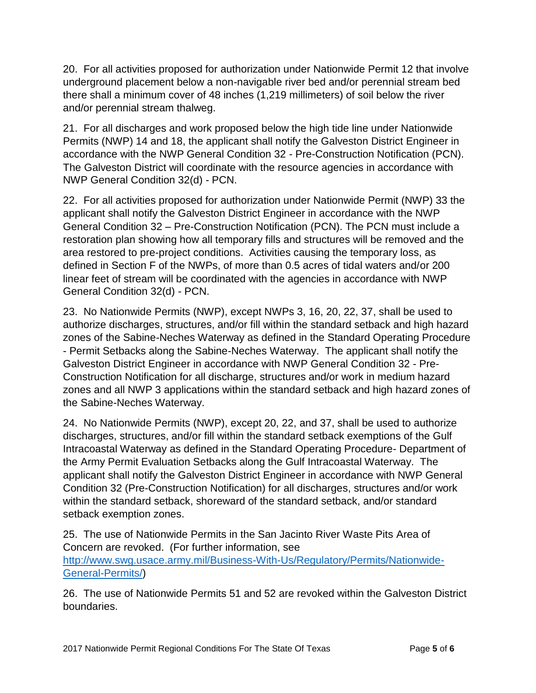20. For all activities proposed for authorization under Nationwide Permit 12 that involve underground placement below a non-navigable river bed and/or perennial stream bed there shall a minimum cover of 48 inches (1,219 millimeters) of soil below the river and/or perennial stream thalweg.

21. For all discharges and work proposed below the high tide line under Nationwide Permits (NWP) 14 and 18, the applicant shall notify the Galveston District Engineer in accordance with the NWP General Condition 32 - Pre-Construction Notification (PCN). The Galveston District will coordinate with the resource agencies in accordance with NWP General Condition 32(d) - PCN.

22. For all activities proposed for authorization under Nationwide Permit (NWP) 33 the applicant shall notify the Galveston District Engineer in accordance with the NWP General Condition 32 – Pre-Construction Notification (PCN). The PCN must include a restoration plan showing how all temporary fills and structures will be removed and the area restored to pre-project conditions. Activities causing the temporary loss, as defined in Section F of the NWPs, of more than 0.5 acres of tidal waters and/or 200 linear feet of stream will be coordinated with the agencies in accordance with NWP General Condition 32(d) - PCN.

23. No Nationwide Permits (NWP), except NWPs 3, 16, 20, 22, 37, shall be used to authorize discharges, structures, and/or fill within the standard setback and high hazard zones of the Sabine-Neches Waterway as defined in the Standard Operating Procedure - Permit Setbacks along the Sabine-Neches Waterway. The applicant shall notify the Galveston District Engineer in accordance with NWP General Condition 32 - Pre-Construction Notification for all discharge, structures and/or work in medium hazard zones and all NWP 3 applications within the standard setback and high hazard zones of the Sabine-Neches Waterway.

24. No Nationwide Permits (NWP), except 20, 22, and 37, shall be used to authorize discharges, structures, and/or fill within the standard setback exemptions of the Gulf Intracoastal Waterway as defined in the Standard Operating Procedure- Department of the Army Permit Evaluation Setbacks along the Gulf Intracoastal Waterway. The applicant shall notify the Galveston District Engineer in accordance with NWP General Condition 32 (Pre-Construction Notification) for all discharges, structures and/or work within the standard setback, shoreward of the standard setback, and/or standard setback exemption zones.

25. The use of Nationwide Permits in the San Jacinto River Waste Pits Area of Concern are revoked. (For further information, see [http://www.swg.usace.army.mil/Business-With-Us/Regulatory/Permits/Nationwide-](http://www.swg.usace.army.mil/Business-With-Us/Regulatory/Permits/Nationwide-General-Permits/)[General-Permits/\)](http://www.swg.usace.army.mil/Business-With-Us/Regulatory/Permits/Nationwide-General-Permits/)

26. The use of Nationwide Permits 51 and 52 are revoked within the Galveston District boundaries.